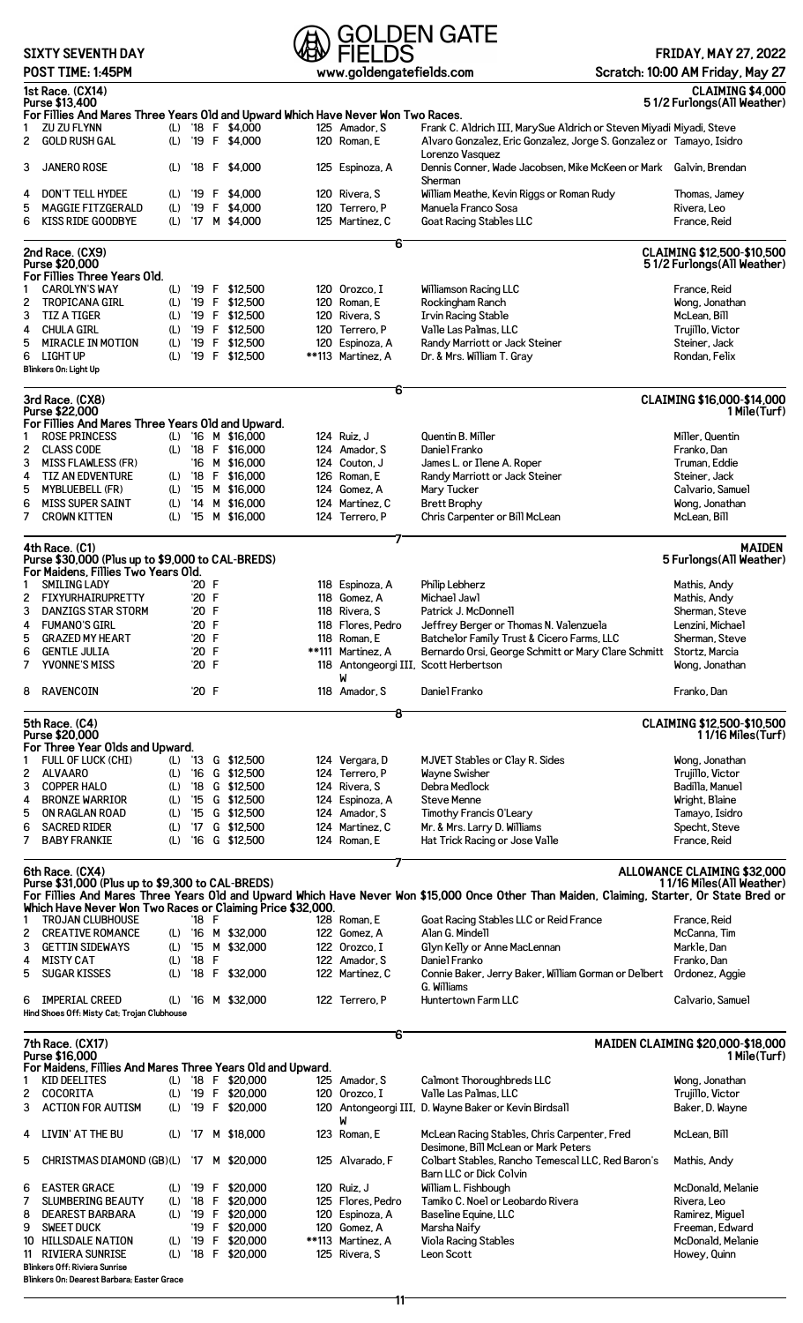## **SIXTY SEVENTH DAY**

**Blinkers Off: Riviera Sunrise**

**Blinkers On: Dearest Barbara; Easter Grace**

# **POLDEN GATE**<br>
POST TIME: 1:45PM<br>
POST TIME: 1:45PM<br>
POST TIME: 1:45PM

#### **FRIDAY, MAY 27, 2022 Scratch: 10:00 AM Friday, May 27**

|                | ויו וטד <sub>י</sub> ו ובויוב ו ויטט ו                                           |     |       |                    | www.goruonga.comoro.com |                                                                                                                                            |                                                                 |
|----------------|----------------------------------------------------------------------------------|-----|-------|--------------------|-------------------------|--------------------------------------------------------------------------------------------------------------------------------------------|-----------------------------------------------------------------|
|                | 1st Race. (CX14)<br>Purse \$13,400                                               |     |       |                    |                         |                                                                                                                                            | CLAIMING \$4,000<br>51/2 Furlongs (All Weather)                 |
|                | For Fillies And Mares Three Years Old and Upward Which Have Never Won Two Races. |     |       |                    |                         |                                                                                                                                            |                                                                 |
| 1              | ZU ZU FLYNN                                                                      |     |       | (L) '18 F $$4,000$ | 125 Amador, S           | Frank C. Aldrich III, MarySue Aldrich or Steven Miyadi Miyadi, Steve                                                                       |                                                                 |
| $\mathbf{2}$   | GOLD RUSH GAL                                                                    |     |       | (L) '19 F \$4,000  | 120 Roman, E            | Alvaro Gonzalez, Eric Gonzalez, Jorge S. Gonzalez or Tamayo, Isidro                                                                        |                                                                 |
|                |                                                                                  |     |       |                    |                         | Lorenzo Vasquez                                                                                                                            |                                                                 |
| 3              | <b>JANERO ROSE</b>                                                               | (L) |       | $18$ F \$4.000     | 125 Espinoza, A         | Dennis Conner, Wade Jacobsen, Mike McKeen or Mark Galvin, Brendan                                                                          |                                                                 |
|                |                                                                                  |     |       |                    |                         | Sherman                                                                                                                                    |                                                                 |
| 4              | <b>DON'T TELL HYDEE</b>                                                          |     |       | (L) '19 F \$4,000  | 120 Rivera, S           | William Meathe, Kevin Riggs or Roman Rudy                                                                                                  | Thomas, Jamey                                                   |
| 5              | <b>MAGGIE FITZGERALD</b>                                                         | (L) |       | '19 F \$4,000      | 120 Terrero, P          | Manuela Franco Sosa                                                                                                                        | Rivera, Leo                                                     |
| 6              | <b>KISS RIDE GOODBYE</b>                                                         |     |       | (L) '17 M \$4,000  | 125 Martinez, C         | Goat Racing Stables LLC                                                                                                                    | France, Reid                                                    |
|                |                                                                                  |     |       |                    | 6                       |                                                                                                                                            |                                                                 |
|                | 2nd Race. (CX9)<br>Purse \$20,000                                                |     |       |                    |                         |                                                                                                                                            | CLAIMING \$12,500-\$10,500                                      |
|                | For Fillies Three Years Old.                                                     |     |       |                    |                         |                                                                                                                                            | 51/2 Furlongs (All Weather)                                     |
| 1              | <b>CAROLYN'S WAY</b>                                                             |     |       | (L) '19 F \$12,500 | 120 Orozco, I           | <b>Williamson Racing LLC</b>                                                                                                               | France, Reid                                                    |
| 2              | <b>TROPICANA GIRL</b>                                                            | (L) |       | '19 F \$12,500     | 120 Roman, E            | Rockingham Ranch                                                                                                                           | Wong, Jonathan                                                  |
| 3              | <b>TIZ A TIGER</b>                                                               | (L) |       | '19 F \$12,500     | 120 Rivera, S           | <b>Irvin Racing Stable</b>                                                                                                                 | McLean, Bill                                                    |
|                |                                                                                  |     |       |                    |                         |                                                                                                                                            |                                                                 |
| 4              | <b>CHULA GIRL</b>                                                                | (L) |       | '19 F \$12,500     | 120 Terrero, P          | Valle Las Palmas, LLC                                                                                                                      | Trujillo, Victor                                                |
| 5              | <b>MIRACLE IN MOTION</b>                                                         | (L) |       | '19 F \$12,500     | 120 Espinoza, A         | Randy Marriott or Jack Steiner                                                                                                             | Steiner, Jack                                                   |
| 6              | LIGHT UP<br>Blinkers On: Light Up                                                | (L) |       | '19 F \$12,500     | **113 Martinez, A       | Dr. & Mrs. William T. Gray                                                                                                                 | Rondan, Felix                                                   |
|                |                                                                                  |     |       |                    |                         |                                                                                                                                            |                                                                 |
|                | 3rd Race. (CX8)                                                                  |     |       |                    | 6                       |                                                                                                                                            | CLAIMING \$16,000-\$14,000                                      |
|                | Purse \$22,000                                                                   |     |       |                    |                         |                                                                                                                                            | 1 Mile(Turf)                                                    |
|                | For Fillies And Mares Three Years Old and Upward.                                |     |       |                    |                         |                                                                                                                                            |                                                                 |
| 1              | <b>ROSE PRINCESS</b>                                                             |     |       | (L) '16 M \$16,000 | 124 Ruiz, J             | Quentin B. Miller                                                                                                                          | Miller, Quentin                                                 |
| 2              | <b>CLASS CODE</b>                                                                |     |       | (L) '18 F \$16,000 | 124 Amador, S           | Daniel Franko                                                                                                                              | Franko, Dan                                                     |
| 3              | <b>MISS FLAWLESS (FR)</b>                                                        |     |       | '16 M \$16,000     | 124 Couton, J           | James L. or Ilene A. Roper                                                                                                                 | Truman, Eddie                                                   |
| 4              | <b>TIZ AN EDVENTURE</b>                                                          |     |       | (L) '18 F \$16,000 | 126 Roman, E            | Randy Marriott or Jack Steiner                                                                                                             | Steiner, Jack                                                   |
| 5              | <b>MYBLUEBELL (FR)</b>                                                           | (L) |       | '15 M \$16,000     | 124 Gomez, A            | Mary Tucker                                                                                                                                | Calvario, Samuel                                                |
|                |                                                                                  |     |       |                    |                         |                                                                                                                                            |                                                                 |
| 6              | <b>MISS SUPER SAINT</b>                                                          | (L) |       | '14 M \$16,000     | 124 Martinez, C         | <b>Brett Brophy</b>                                                                                                                        | Wong, Jonathan                                                  |
| 7              | <b>CROWN KITTEN</b>                                                              | (L) |       | '15 M \$16,000     | 124 Terrero, P          | Chris Carpenter or Bill McLean                                                                                                             | McLean, Bill                                                    |
|                |                                                                                  |     |       |                    |                         |                                                                                                                                            |                                                                 |
|                | 4th Race. (C1)<br>Purse \$30,000 (Plus up to \$9,000 to CAL-BREDS)               |     |       |                    |                         |                                                                                                                                            | <b>MAIDEN</b><br>5 Furlongs (All Weather)                       |
|                | For Maidens, Fillies Two Years Old.                                              |     |       |                    |                         |                                                                                                                                            |                                                                 |
| 1              | <b>SMILING LADY</b>                                                              |     | '20 F |                    | 118 Espinoza, A         | Philip Lebherz                                                                                                                             | Mathis, Andy                                                    |
|                |                                                                                  |     |       |                    |                         |                                                                                                                                            |                                                                 |
| $\overline{2}$ | FIXYURHAIRUPRETTY                                                                |     | '20 F |                    | 118 Gomez, A            | Michael Jawl                                                                                                                               | Mathis, Andy                                                    |
| 3              | <b>DANZIGS STAR STORM</b>                                                        |     | '20 F |                    | 118 Rivera, S           | Patrick J. McDonnell                                                                                                                       | Sherman, Steve                                                  |
| 4              | <b>FUMANO'S GIRL</b>                                                             |     | '20 F |                    | 118 Flores, Pedro       | Jeffrey Berger or Thomas N. Valenzuela                                                                                                     | Lenzini, Michael                                                |
| 5              | <b>GRAZED MY HEART</b>                                                           |     | '20 F |                    | 118 Roman, E            | Batchelor Family Trust & Cicero Farms, LLC                                                                                                 | Sherman, Steve                                                  |
| 6              | <b>GENTLE JULIA</b>                                                              |     | '20 F |                    | **111 Martinez, A       | Bernardo Orsi, George Schmitt or Mary Clare Schmitt                                                                                        | Stortz, Marcia                                                  |
| 7              | YVONNE'S MISS                                                                    |     | '20 F |                    |                         | 118 Antongeorgi III, Scott Herbertson                                                                                                      | Wong, Jonathan                                                  |
|                |                                                                                  |     |       |                    | W                       |                                                                                                                                            |                                                                 |
| 8              | RAVENCOIN                                                                        |     | '20 F |                    | 118 Amador, S           | Daniel Franko                                                                                                                              | Franko, Dan                                                     |
|                |                                                                                  |     |       |                    | 8                       |                                                                                                                                            |                                                                 |
|                | 5th Race. (C4)<br>Purse \$20,000                                                 |     |       |                    |                         |                                                                                                                                            | CLAIMING \$12,500-\$10,500<br>11/16 Miles(Turf)                 |
|                | For Three Year Olds and Upward.                                                  |     |       |                    |                         |                                                                                                                                            |                                                                 |
| 1              | FULL OF LUCK (CHI)                                                               |     |       | (L) '13 G \$12,500 | 124 Vergara, D          | MJVET Stables or Clay R. Sides                                                                                                             | Wong, Jonathan                                                  |
| 2              | ALVAARO                                                                          | (L) |       | '16 G \$12,500     | 124 Terrero, P          | Wayne Swisher                                                                                                                              | Trujillo, Victor                                                |
| 3              | <b>COPPER HALO</b>                                                               | (L) |       | '18 G \$12,500     | 124 Rivera, S           | Debra Medlock                                                                                                                              | Badilla, Manuel                                                 |
| 4              | <b>BRONZE WARRIOR</b>                                                            | (L) |       | '15 G \$12,500     | 124 Espinoza, A         | Steve Menne                                                                                                                                | Wright, Blaine                                                  |
|                | ON RAGLAN ROAD                                                                   |     |       |                    |                         |                                                                                                                                            |                                                                 |
| 5              |                                                                                  | (L) |       | '15 G \$12,500     | 124 Amador, S           | Timothy Francis O'Leary                                                                                                                    | Tamayo, Isidro                                                  |
| 6              | <b>SACRED RIDER</b>                                                              | (L) |       | '17 G \$12,500     | 124 Martinez. C         | Mr. & Mrs. Larry D. Williams                                                                                                               | Specht, Steve                                                   |
| 7              | <b>BABY FRANKIE</b>                                                              | (L) |       | '16 G \$12,500     | 124 Roman, E            | Hat Trick Racing or Jose Valle                                                                                                             | France, Reid                                                    |
|                |                                                                                  |     |       |                    |                         |                                                                                                                                            |                                                                 |
|                | 6th Race. (CX4)<br>Purse \$31,000 (Plus up to \$9,300 to CAL-BREDS)              |     |       |                    |                         |                                                                                                                                            | <b>ALLOWANCE CLAIMING \$32,000</b><br>11/16 Miles (All Weather) |
|                |                                                                                  |     |       |                    |                         | For Fillies And Mares Three Years Old and Upward Which Have Never Won \$15,000 Once Other Than Maiden, Claiming, Starter, Or State Bred or |                                                                 |
|                | Which Have Never Won Two Races or Claiming Price \$32,000.                       |     |       |                    |                         |                                                                                                                                            |                                                                 |
| 1              | <b>TROJAN CLUBHOUSE</b>                                                          |     | '18 F |                    | 128 Roman, E            | Goat Racing Stables LLC or Reid France                                                                                                     | France, Reid                                                    |
| 2              | <b>CREATIVE ROMANCE</b>                                                          |     |       | (L) '16 M \$32,000 | 122 Gomez, A            | Alan G. Mindell                                                                                                                            | McCanna, Tim                                                    |
| 3              | <b>GETTIN SIDEWAYS</b>                                                           | (L) |       | '15 M \$32,000     | 122 Orozco, I           | Glyn Kelly or Anne MacLennan                                                                                                               | Markle, Dan                                                     |
|                |                                                                                  |     |       |                    |                         |                                                                                                                                            |                                                                 |
| 4              | <b>MISTY CAT</b>                                                                 | (L) | '18 F |                    | 122 Amador, S           | Daniel Franko                                                                                                                              | Franko, Dan                                                     |
| 5              | <b>SUGAR KISSES</b>                                                              | (L) |       | '18 F \$32,000     | 122 Martinez, C         | Connie Baker, Jerry Baker, William Gorman or Delbert<br>G. Williams                                                                        | Ordonez, Aggie                                                  |
| 6              | <b>IMPERIAL CREED</b>                                                            | (L) |       | '16 M \$32,000     | 122 Terrero, P          | Huntertown Farm LLC                                                                                                                        | Calvario, Samuel                                                |
|                | Hind Shoes Off: Misty Cat; Trojan Clubhouse                                      |     |       |                    |                         |                                                                                                                                            |                                                                 |
|                |                                                                                  |     |       |                    | 6                       |                                                                                                                                            |                                                                 |
|                | 7th Race. (CX17)                                                                 |     |       |                    |                         |                                                                                                                                            | MAIDEN CLAIMING \$20,000-\$18,000                               |
|                | Purse \$16,000                                                                   |     |       |                    |                         |                                                                                                                                            | 1 Mile(Turf)                                                    |
|                | For Maidens, Fillies And Mares Three Years Old and Upward.                       |     |       |                    |                         |                                                                                                                                            |                                                                 |
| 1              | KID DEELITES                                                                     |     |       | (L) '18 F \$20,000 | 125 Amador, S           | Calmont Thoroughbreds LLC                                                                                                                  | Wong, Jonathan                                                  |
| 2              | COCORITA                                                                         |     |       | (L) '19 F \$20,000 | 120 Orozco, I           | Valle Las Palmas, LLC                                                                                                                      | Trujillo, Victor                                                |
| 3              | <b>ACTION FOR AUTISM</b>                                                         | (L) |       | '19 F \$20,000     |                         | 120 Antongeorgi III, D. Wayne Baker or Kevin Birdsall                                                                                      | Baker, D. Wayne                                                 |
| 4              | LIVIN' AT THE BU                                                                 |     |       | (L) '17 M \$18,000 | M<br>123 Roman, E       | McLean Racing Stables, Chris Carpenter, Fred                                                                                               | McLean, Bill                                                    |
|                |                                                                                  |     |       |                    |                         | Desimone, Bill McLean or Mark Peters                                                                                                       |                                                                 |
| 5              | CHRISTMAS DIAMOND (GB)(L) '17 M \$20,000                                         |     |       |                    | 125 Alvarado. F         | Colbart Stables, Rancho Temescal LLC, Red Baron's                                                                                          | Mathis, Andy                                                    |
|                |                                                                                  |     |       |                    |                         | Barn LLC or Dick Colvin                                                                                                                    |                                                                 |
| 6              | <b>EASTER GRACE</b>                                                              | (L) |       | $'19$ F \$20,000   | 120 Ruiz, J             | William L. Fishbough                                                                                                                       | McDonald, Melanie                                               |
| 7              | <b>SLUMBERING BEAUTY</b>                                                         | (L) |       | $18$ F \$20,000    | 125 Flores, Pedro       | Tamiko C. Noel or Leobardo Rivera                                                                                                          | Rivera, Leo                                                     |
| 8              | <b>DEAREST BARBARA</b>                                                           | (L) |       | '19 F \$20,000     | 120 Espinoza, A         | Baseline Equine, LLC                                                                                                                       | Ramirez, Miguel                                                 |
| 9              | <b>SWEET DUCK</b>                                                                |     |       | '19 F \$20,000     | 120 Gomez, A            | Marsha Naify                                                                                                                               | Freeman, Edward                                                 |
|                | 10 HILLSDALE NATION                                                              |     |       | (L) '19 F \$20,000 | **113 Martinez, A       | Viola Racing Stables                                                                                                                       | McDona1d, Me1anie                                               |
|                | 11 RIVIERA SUNRISE                                                               |     |       | (L) '18 F \$20,000 | 125 Rivera, S           | Leon Scott                                                                                                                                 | Howey, Quinn                                                    |
|                |                                                                                  |     |       |                    |                         |                                                                                                                                            |                                                                 |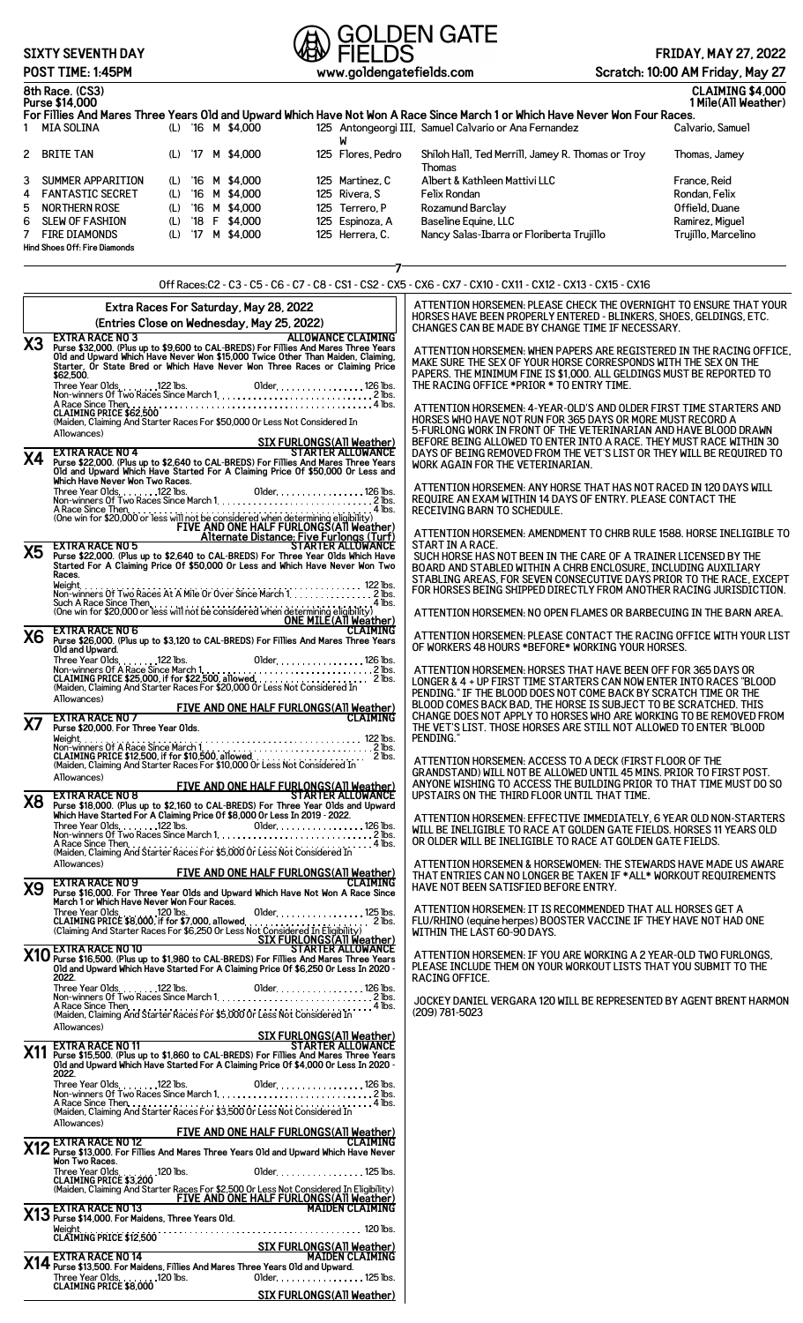### **SIXTY SEVENTH DAY**

# **POLDEN GATE**<br>POST TIME: 1:45PM<br>POST TIME: 1:45PM

#### **8th Race. (CS3) CLAIMING \$4,000 Purse \$14,000 1 Mile(All Weather) For Fillies And Mares Three Years Old and Upward Which Have Not Won A Race Since March 1 or Which Have Never Won Four Races.** 1 MIA SOLINA (L) '16 M \$4,000 125 Antongeorgi III, Samuel Calvario or Ana Fernandez Calvario, Samuel W 2 BRITE TAN (L) '17 M \$4,000 125 Flores, Pedro Shiloh Hall, Ted Merrill, Jamey R. Thomas or Troy Thomas Thomas, Jamey 3 SUMMER APPARITION (L) '16 M \$4,000 125 Martinez, C Albert & Kathleen Mattivi LLC France, Reid<br>1 FANTASTIC SECRET (L) '16 M \$4,000 125 Rivera, S Felix Rondan 4 FANTASTIC SECRET (L) '16 M \$4,000 125 Rivera, S Felix Rondan<br>5 NORTHERN ROSE (L) '16 M \$4,000 125 Terrero, P Rozamund Barclay Channel Rose (Trield, Duane 5 NORTHERN ROSE (L) '16 M \$4,000 125 Terrero, P Rozamund Barclay Offield, Duane 6 SLEW OF FASHION (L) '18 F \$4,000 125 Espinoza, A Baseline Equine, LLC Ramirez, Miguel 7 FIRE DIAMONDS (L) '17 M \$4,000 125 Herrera, C. Nancy Salas-Ibarra or Floriberta Trujillo **Hind Shoes Off: Fire Diamonds 7** Off Races:C2 - C3 - C5 - C6 - C7 - C8 - CS1 - CS2 - CX5 - CX6 - CX7 - CX10 - CX11 - CX12 - CX13 - CX15 - CX16 **Extra Races For Saturday, May 28, 2022 (Entries Close on Wednesday, May 25, 2022)** X3 EXTRA RACE NO 3<br>Purse \$32,000. (Plus up to \$9,600 to CAL-BREDS) For Fillies And Mares Three Years<br>Old and Upward Which Have Never Won \$15,000 Twice Other Than Maiden, Claiming,<br>Starter, Or State Bred or Which Have Never Three Year Olds 122 lbs. Older 126 lbs. Non-winners Of Two Races Since March 1 2 lbs. A Race Since Then 4 lbs. **CLAIMING PRICE \$62,500** (Maiden, Claiming And Starter Races For \$50,000 Or Less Not Considered In Allowances)<br> **X4** EXTRA RACE NO 4<br>
Purse \$22,000. (Plus up to \$2,640 to CAL-BREDS) For Fillies And Mares Three Years<br>
Old and Upward Which Have Started For A Claiming Price Of \$50,000 Or Less and<br>
Which Have Never Won Two Three Year Olds 122 lbs. Older 126 lbs. Non-winners Of Two Races Since March 1 2 lbs. A Race Since Then.<br>(One win for \$20,000 or less will not be considered when determining eligibility.)<br>FIVE AND ONE HALF FURLONGS(AII Weather)<br>STARTER ALLOWANCE<br>STARTER ALLOWANCE<br>Started For A Claiming Price 01 \$50,000 Or L **Races.<br>Weight.<br>Non-wii** Weight 122 lbs. Non-winners Of Two Races At A Mile Or Over Since March 1 2 lbs. Such A Race Since Then 4 lbs. (One win for \$20,000 or less will not be considered when determining eligibility) **ONE MILE(All Weather) X6 EXTRA RACE NO 6 CLAIMING Purse \$26,000. (Plus up to \$3,120 to CAL-BREDS) For Fillies And Mares Three Years Old and Upward.** Three Year Olds 122 lbs. Older 126 lbs. Non-winners Of A Race Since March 1 2 lbs. **CLAIMING PRICE \$25,000, if for \$22,500, allowed** 2 lbs. (Maiden, Claiming And Starter Races For \$20,000 Or Less Not Considered In Allowances) **FIVE AND ONE HALF FURLONGS(A11 Weather)**<br>Magazine S20,000. For Three Year Olds.<br>Purse \$20,000. For Three Year Olds. Weight 122 lbs. Non-winners Of A Race Since March 1 2 lbs. **CLAIMING PRICE \$12,500, if for \$10,500, allowed** 2 lbs. (Maiden, Claiming And Starter Races For \$10,000 Or Less Not Considered In Allowances)<br>FIVE AND ONE HALF FURLONGS(AII Weather)<br>TARTER ALLOWANCE<br>Which Have Started For A Claiming Price Of \$8,000 Or Less In 2019 - 2022.<br>Which Have Started For A Claiming Price Of \$8,000 Or Less In 2019 - 2022. Three Year Olds 122 lbs. Older 126 lbs. Non-winners Of Two Races Since March 1 2 lbs. A Race Since Then 4 lbs. (Maiden, Claiming And Starter Races For \$5,000 Or Less Not Considered In Allowances) **FIVE AND ONE HALF FURLONGS(All Weather) 29 EXTRA RACE NO 9**<br>Purse \$16,000. For Three Year Olds and Upward Which Have Not Won A Race Since<br>March 1 or Which Have Never Won Four Races. Three Year Olds 120 lbs. Older 125 lbs. **CLAIMING PRICE \$8,000, if for \$7,000, allowed** 2 lbs. (Claiming And Starter Races For \$6,250 Or Less Not Considered In Eligibility) **SIX FURLONGS(All Weather) X10 EXTRA RACE NO 10 STARTER ALLOWANCE Purse \$16,500. (Plus up to \$1,980 to CAL-BREDS) For Fillies And Mares Three Years Old and Upward Which Have Started For A Claiming Price Of \$6,250 Or Less In 2020 - 2022.** Three Year Olds 122 lbs. Older 126 lbs. Non-winners Of Two Races Since March 1 2 lbs. A Race Since Then 4 lbs. (Maiden, Claiming And Starter Races For \$5,000 Or Less Not Considered In Allowances) **SIX FURLONGS(All Weather)** STARTER ALLOWANCE<br>Purse \$15,500. (Plus up to \$1,860 to CAL-BREDS) For Fillies And Mares Three Years<br>Old and Upward Which Have Started For A Claiming Price Of \$4,000 Or Less In 2020<br>- 2022. Three Year Olds 122 lbs. Older 126 lbs. Non-winners Of Two Races Since March 1 2 lbs. A Race Since Then 4 lbs. (Maiden, Claiming And Starter Races For \$3,500 Or Less Not Considered In Allowances) **FIVE AND ONE HALF FURLONGS(All Weather) X12 EXTRA RACE NO 12 CLAIMING Purse \$13,000. For Fillies And Mares Three Years Old and Upward Which Have Never Won Two Races.** ATTENTION HORSEMEN: PLEASE CHECK THE OVERNIGHT TO ENSURE THAT YOUR HORSES HAVE BEEN PROPERLY ENTERED - BLINKERS, SHOES, GELDINGS, ETC. CHANGES CAN BE MADE BY CHANGE TIME IF NECESSARY. ATTENTION HORSEMEN: WHEN PAPERS ARE REGISTERED IN THE RACING OFFICE, MAKE SURE THE SEX OF YOUR HORSE CORRESPONDS WITH THE SEX ON THE PAPERS. THE MINIMUM FINE IS \$1,000. ALL GELDINGS MUST BE REPORTED TO THE RACING OFFICE \*PRIOR \* TO ENTRY TIME. ATTENTION HORSEMEN: 4-YEAR-OLD'S AND OLDER FIRST TIME STARTERS AND HORSES WHO HAVE NOT RUN FOR 365 DAYS OR MORE MUST RECORD A 5-FURLONG WORK IN FRONT OF THE VETERINARIAN AND HAVE BLOOD DRAWN BEFORE BEING ALLOWED TO ENTER INTO A RACE. THEY MUST RACE WITHIN 30 DAYS OF BEING REMOVED FROM THE VET'S LIST OR THEY WILL BE REQUIRED TO WORK AGAIN FOR THE VETERINARIAN. ATTENTION HORSEMEN: ANY HORSE THAT HAS NOT RACED IN 120 DAYS WILL REQUIRE AN EXAM WITHIN 14 DAYS OF ENTRY. PLEASE CONTACT THE RECEIVING BARN TO SCHEDULE. ATTENTION HORSEMEN: AMENDMENT TO CHRB RULE 1588. HORSE INELIGIBLE TO START IN A RACE. SUCH HORSE HAS NOT BEEN IN THE CARE OF A TRAINER LICENSED BY THE BOARD AND STABLED WITHIN A CHRB ENCLOSURE, INCLUDING AUXILIARY STABLING AREAS, FOR SEVEN CONSECUTIVE DAYS PRIOR TO THE RACE, EXCEPT FOR HORSES BEING SHIPPED DIRECTLY FROM ANOTHER RACING JURISDICTION. ATTENTION HORSEMEN: NO OPEN FLAMES OR BARBECUING IN THE BARN AREA. ATTENTION HORSEMEN: PLEASE CONTACT THE RACING OFFICE WITH YOUR LIST OF WORKERS 48 HOURS \*BEFORE\* WORKING YOUR HORSES. ATTENTION HORSEMEN: HORSES THAT HAVE BEEN OFF FOR 365 DAYS OR LONGER & 4 + UP FIRST TIME STARTERS CAN NOW ENTER INTO RACES "BLOOD PENDING." IF THE BLOOD DOES NOT COME BACK BY SCRATCH TIME OR THE BLOOD COMES BACK BAD, THE HORSE IS SUBJECT TO BE SCRATCHED. THIS CHANGE DOES NOT APPLY TO HORSES WHO ARE WORKING TO BE REMOVED FROM THE VET'S LIST. THOSE HORSES ARE STILL NOT ALLOWED TO ENTER "BLOOD **PENDING** ATTENTION HORSEMEN: ACCESS TO A DECK (FIRST FLOOR OF THE GRANDSTAND) WILL NOT BE ALLOWED UNTIL 45 MINS. PRIOR TO FIRST POST. ANYONE WISHING TO ACCESS THE BUILDING PRIOR TO THAT TIME MUST DO SO UPSTAIRS ON THE THIRD FLOOR UNTIL THAT TIME. ATTENTION HORSEMEN: EFFECTIVE IMMEDIATELY, 6 YEAR OLD NON-STARTERS WILL BE INELIGIBLE TO RACE AT GOLDEN GATE FIELDS. HORSES 11 YEARS OLD OR OLDER WILL BE INELIGIBLE TO RACE AT GOLDEN GATE FIELDS. ATTENTION HORSEMEN & HORSEWOMEN: THE STEWARDS HAVE MADE US AWARE THAT ENTRIES CAN NO LONGER BE TAKEN IF \*ALL\* WORKOUT REQUIREMENTS HAVE NOT BEEN SATISFIED BEFORE ENTRY. ATTENTION HORSEMEN: IT IS RECOMMENDED THAT ALL HORSES GET A FLU/RHINO (equine herpes) BOOSTER VACCINE IF THEY HAVE NOT HAD ONE WITHIN THE LAST 60-90 DAYS. ATTENTION HORSEMEN: IF YOU ARE WORKING A 2 YEAR-OLD TWO FURLONGS, PLEASE INCLUDE THEM ON YOUR WORKOUT LISTS THAT YOU SUBMIT TO THE RACING OFFICE. JOCKEY DANIEL VERGARA 120 WILL BE REPRESENTED BY AGENT BRENT HARMON (209) 781-5023

Three Year Olds.<br>CLAIMING PRICE \$3,200 .<br>(Maiden, Claiming And Starter Races For \$2,500 Or Less Not Considered In Eligibility)<br>FIVE AND ONE HALF FURLONGS(AII Weather)<br>MAIDEN CLAIMING<br>MAIDEN CLAIMING Weight 120 lbs. **CLAIMING PRICE \$12,500 SIX FURLONGS(All Weather) 14 EXTRA RACE NO 14 MAIDEN CLAIMING**<br>**Purse \$13,500. For Maidens, Fillies And Mares Three Years Old and Upward.** 

Three Year Olds 120 lbs. Older 125 lbs. **CLAIMING PRICE \$8,000 SIX FURLONGS(All Weather)**